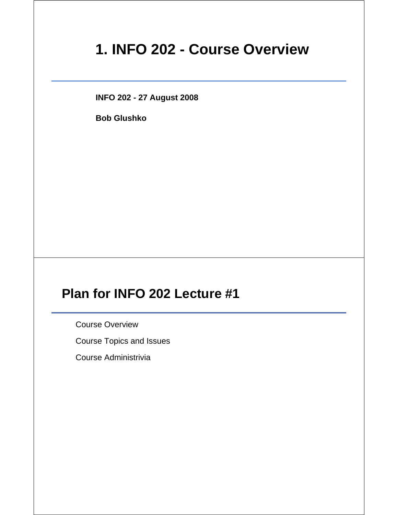# **1. INFO 202 - Course Overview**

**INFO 202 - 27 August 2008**

**Bob Glushko**

# **Plan for INFO 202 Lecture #1**

Course Overview

Course Topics and Issues

Course Administrivia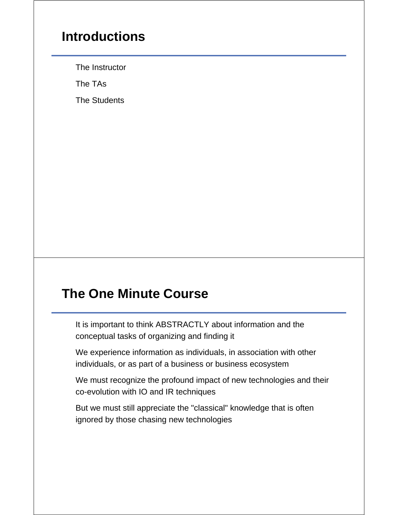#### **Introductions**

The Instructor

The TAs

The Students

## **The One Minute Course**

It is important to think ABSTRACTLY about information and the conceptual tasks of organizing and finding it

We experience information as individuals, in association with other individuals, or as part of a business or business ecosystem

We must recognize the profound impact of new technologies and their co-evolution with IO and IR techniques

But we must still appreciate the "classical" knowledge that is often ignored by those chasing new technologies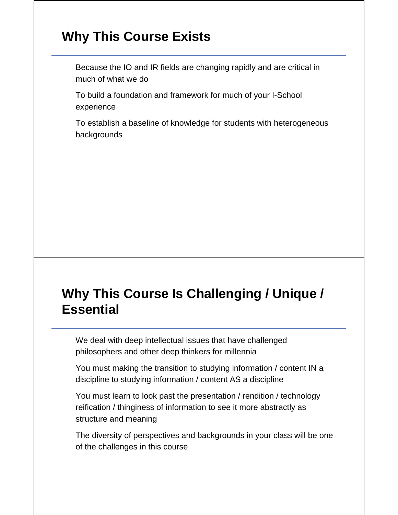## **Why This Course Exists**

Because the IO and IR fields are changing rapidly and are critical in much of what we do

To build a foundation and framework for much of your I-School experience

To establish a baseline of knowledge for students with heterogeneous backgrounds

# **Why This Course Is Challenging / Unique / Essential**

We deal with deep intellectual issues that have challenged philosophers and other deep thinkers for millennia

You must making the transition to studying information / content IN a discipline to studying information / content AS a discipline

You must learn to look past the presentation / rendition / technology reification / thinginess of information to see it more abstractly as structure and meaning

The diversity of perspectives and backgrounds in your class will be one of the challenges in this course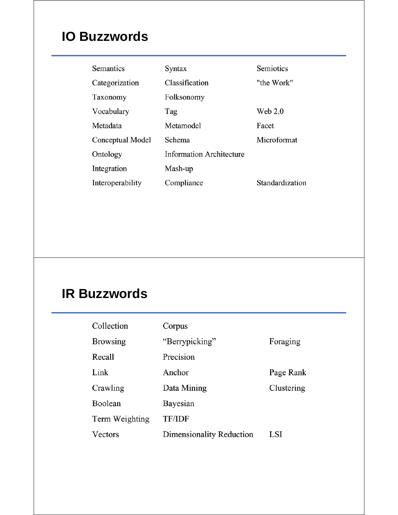# **IO Buzzwords**

| Semantics        | Syntax                          | Semiotics       |
|------------------|---------------------------------|-----------------|
| Categorization   | Classification                  | "the Work"      |
| Taxonomy         | Folksonomy                      |                 |
| Vocabulary       | Tag                             | Web 2.0         |
| Metadata         | Metamodel                       | Facet           |
| Conceptual Model | Schema                          | Microformat     |
| Ontology         | <b>Information Architecture</b> |                 |
| Integration      | Mash-up                         |                 |
| Interoperability | Compliance                      | Standardization |

# **IR Buzzwords**

| Collection      | Corpus                   |            |
|-----------------|--------------------------|------------|
| <b>Browsing</b> | "Berrypicking"           | Foraging   |
| Recall          | Precision                |            |
| Link            | Anchor                   | Page Rank  |
| Crawling        | Data Mining              | Clustering |
| Boolean         | Bayesian                 |            |
| Term Weighting  | <b>TF/IDF</b>            |            |
| Vectors         | Dimensionality Reduction | LSI        |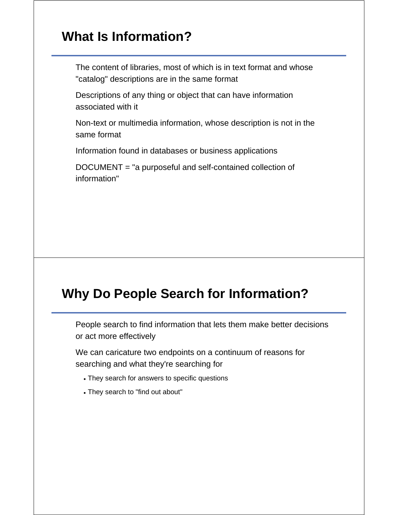## **What Is Information?**

The content of libraries, most of which is in text format and whose "catalog" descriptions are in the same format

Descriptions of any thing or object that can have information associated with it

Non-text or multimedia information, whose description is not in the same format

Information found in databases or business applications

DOCUMENT = "a purposeful and self-contained collection of information"

#### **Why Do People Search for Information?**

People search to find information that lets them make better decisions or act more effectively

We can caricature two endpoints on a continuum of reasons for searching and what they're searching for

- They search for answers to specific questions
- They search to "find out about"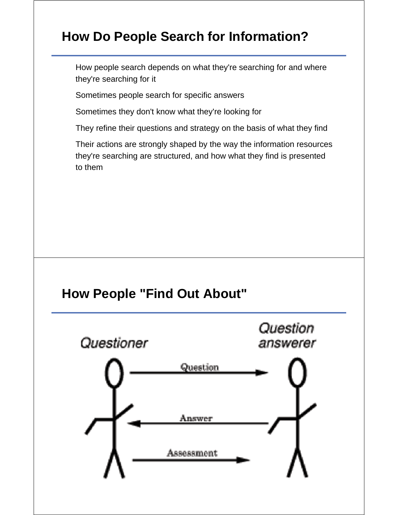## **How Do People Search for Information?**

How people search depends on what they're searching for and where they're searching for it

Sometimes people search for specific answers

Sometimes they don't know what they're looking for

They refine their questions and strategy on the basis of what they find

Their actions are strongly shaped by the way the information resources they're searching are structured, and how what they find is presented to them

#### **How People "Find Out About"**

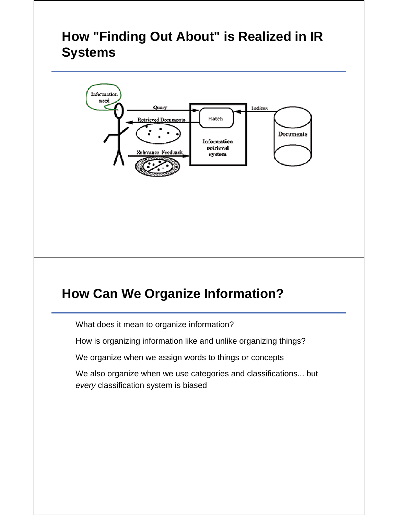# **How "Finding Out About" is Realized in IR Systems**



#### **How Can We Organize Information?**

What does it mean to organize information?

How is organizing information like and unlike organizing things?

We organize when we assign words to things or concepts

We also organize when we use categories and classifications... but *every* classification system is biased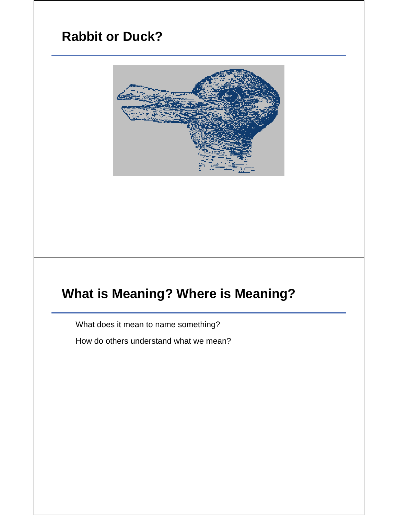# **Rabbit or Duck?**



# **What is Meaning? Where is Meaning?**

What does it mean to name something?

How do others understand what we mean?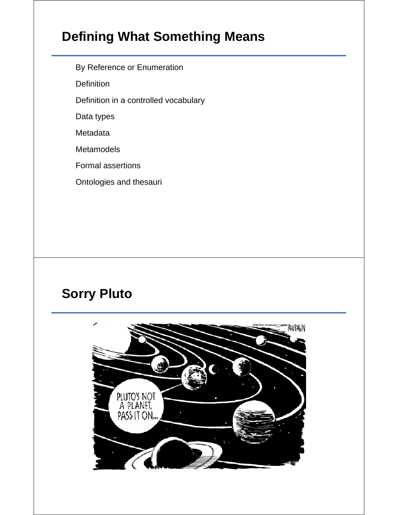# **Defining What Something Means**

By Reference or Enumeration

**Definition** 

Definition in a controlled vocabulary

Data types

Metadata

**Metamodels** 

Formal assertions

Ontologies and thesauri

# **Sorry Pluto**

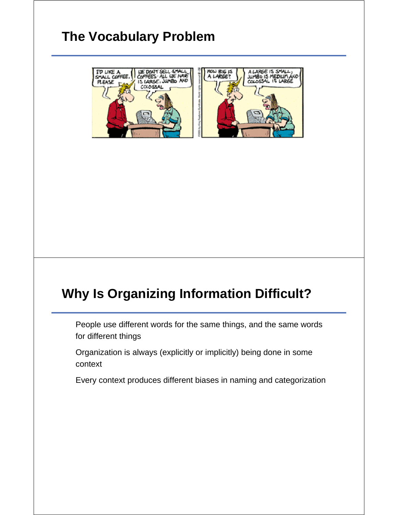# **The Vocabulary Problem**



## **Why Is Organizing Information Difficult?**

People use different words for the same things, and the same words for different things

Organization is always (explicitly or implicitly) being done in some context

Every context produces different biases in naming and categorization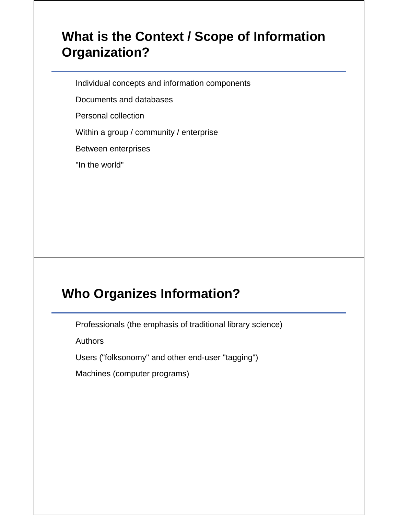## **What is the Context / Scope of Information Organization?**

Individual concepts and information components

Documents and databases

Personal collection

Within a group / community / enterprise

Between enterprises

"In the world"

## **Who Organizes Information?**

Professionals (the emphasis of traditional library science)

**Authors** 

Users ("folksonomy" and other end-user "tagging")

Machines (computer programs)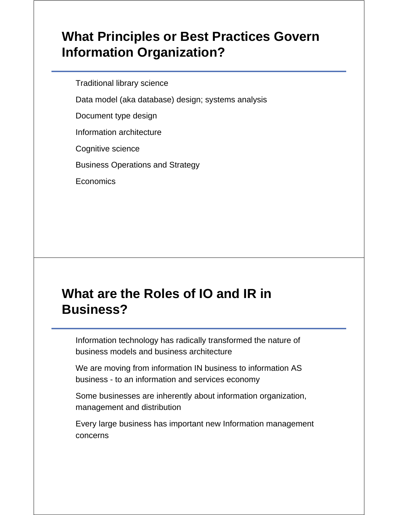## **What Principles or Best Practices Govern Information Organization?**

Traditional library science

Data model (aka database) design; systems analysis

Document type design

Information architecture

Cognitive science

Business Operations and Strategy

Economics

## **What are the Roles of IO and IR in Business?**

Information technology has radically transformed the nature of business models and business architecture

We are moving from information IN business to information AS business - to an information and services economy

Some businesses are inherently about information organization, management and distribution

Every large business has important new Information management concerns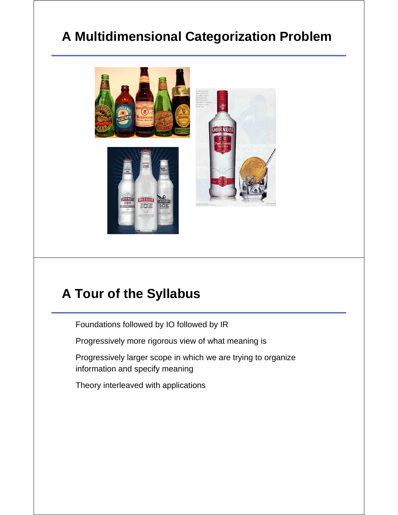# **A Multidimensional Categorization Problem**



#### **A Tour of the Syllabus**

Foundations followed by IO followed by IR

Progressively more rigorous view of what meaning is

Progressively larger scope in which we are trying to organize information and specify meaning

Theory interleaved with applications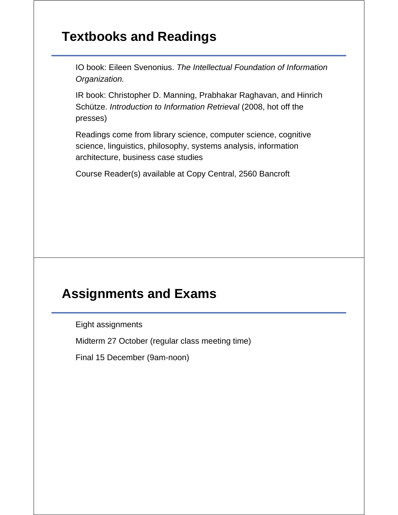### **Textbooks and Readings**

IO book: Eileen Svenonius. *The Intellectual Foundation of Information Organization.*

IR book: Christopher D. Manning, Prabhakar Raghavan, and Hinrich Schütze. *Introduction to Information Retrieval* (2008, hot off the presses)

Readings come from library science, computer science, cognitive science, linguistics, philosophy, systems analysis, information architecture, business case studies

Course Reader(s) available at Copy Central, 2560 Bancroft

### **Assignments and Exams**

Eight assignments

Midterm 27 October (regular class meeting time)

Final 15 December (9am-noon)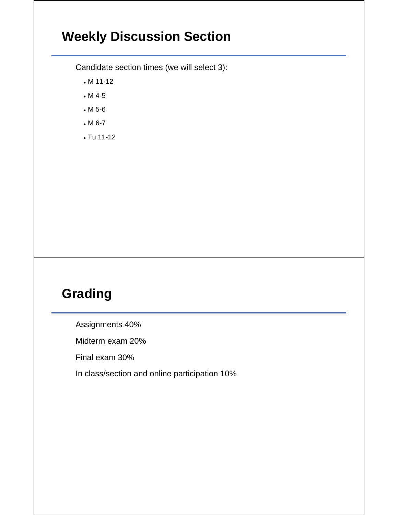# **Weekly Discussion Section**

Candidate section times (we will select 3):

- M 11-12
- M 4-5
- M 5-6
- M 6-7
- Tu 11-12

# **Grading**

Assignments 40%

Midterm exam 20%

Final exam 30%

In class/section and online participation 10%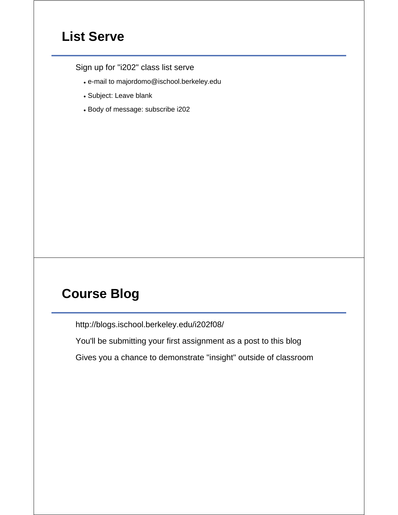### **List Serve**

Sign up for "i202" class list serve

- e-mail to majordomo@ischool.berkeley.edu
- Subject: Leave blank
- Body of message: subscribe i202

## **Course Blog**

http://blogs.ischool.berkeley.edu/i202f08/

You'll be submitting your first assignment as a post to this blog

Gives you a chance to demonstrate "insight" outside of classroom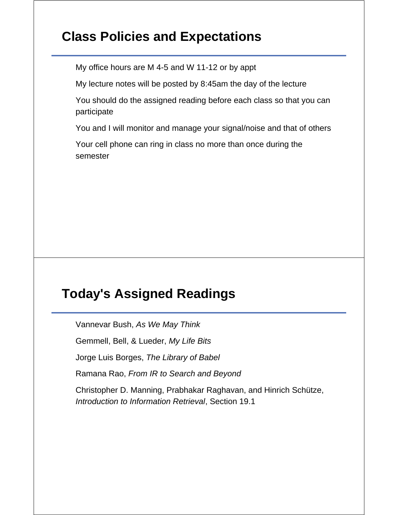## **Class Policies and Expectations**

My office hours are M 4-5 and W 11-12 or by appt

My lecture notes will be posted by 8:45am the day of the lecture

You should do the assigned reading before each class so that you can participate

You and I will monitor and manage your signal/noise and that of others

Your cell phone can ring in class no more than once during the semester

#### **Today's Assigned Readings**

Vannevar Bush, *As We May Think*

Gemmell, Bell, & Lueder, *My Life Bits*

Jorge Luis Borges, *The Library of Babel*

Ramana Rao, *From IR to Search and Beyond*

Christopher D. Manning, Prabhakar Raghavan, and Hinrich Schütze, *Introduction to Information Retrieval*, Section 19.1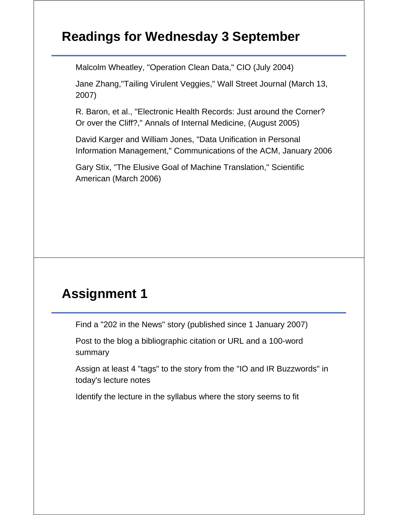## **Readings for Wednesday 3 September**

Malcolm Wheatley, "Operation Clean Data," CIO (July 2004)

Jane Zhang,"Tailing Virulent Veggies," Wall Street Journal (March 13, 2007)

R. Baron, et al., "Electronic Health Records: Just around the Corner? Or over the Cliff?," Annals of Internal Medicine, (August 2005)

David Karger and William Jones, "Data Unification in Personal Information Management," Communications of the ACM, January 2006

Gary Stix, "The Elusive Goal of Machine Translation," Scientific American (March 2006)

## **Assignment 1**

Find a "202 in the News" story (published since 1 January 2007)

Post to the blog a bibliographic citation or URL and a 100-word summary

Assign at least 4 "tags" to the story from the "IO and IR Buzzwords" in today's lecture notes

Identify the lecture in the syllabus where the story seems to fit